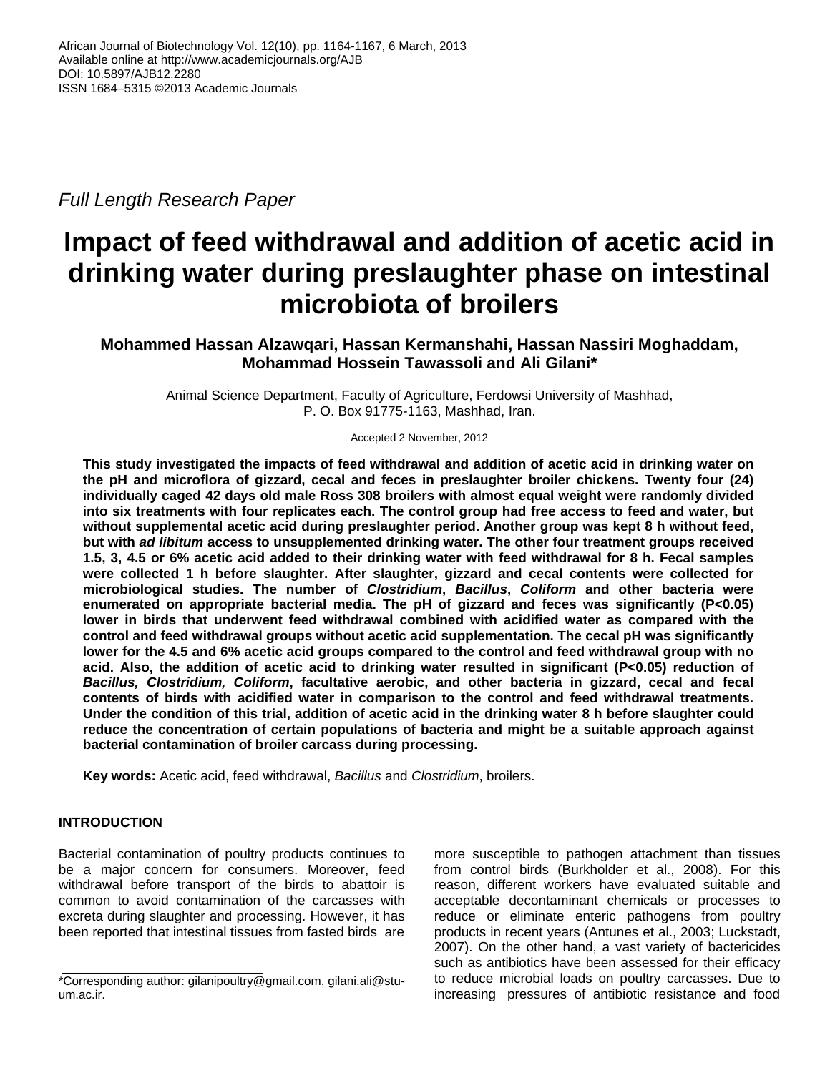*Full Length Research Paper*

# **Impact of feed withdrawal and addition of acetic acid in drinking water during preslaughter phase on intestinal microbiota of broilers**

**Mohammed Hassan Alzawqari, Hassan Kermanshahi, Hassan Nassiri Moghaddam, Mohammad Hossein Tawassoli and Ali Gilani\***

> Animal Science Department, Faculty of Agriculture, Ferdowsi University of Mashhad, P. O. Box 91775-1163, Mashhad, Iran.

> > Accepted 2 November, 2012

**This study investigated the impacts of feed withdrawal and addition of acetic acid in drinking water on the pH and microflora of gizzard, cecal and feces in preslaughter broiler chickens. Twenty four (24) individually caged 42 days old male Ross 308 broilers with almost equal weight were randomly divided into six treatments with four replicates each. The control group had free access to feed and water, but without supplemental acetic acid during preslaughter period. Another group was kept 8 h without feed, but with** *ad libitum* **access to unsupplemented drinking water. The other four treatment groups received 1.5, 3, 4.5 or 6% acetic acid added to their drinking water with feed withdrawal for 8 h. Fecal samples were collected 1 h before slaughter. After slaughter, gizzard and cecal contents were collected for microbiological studies. The number of** *Clostridium***,** *Bacillus***,** *Coliform* **and other bacteria were enumerated on appropriate bacterial media. The pH of gizzard and feces was significantly (P<0.05) lower in birds that underwent feed withdrawal combined with acidified water as compared with the control and feed withdrawal groups without acetic acid supplementation. The cecal pH was significantly lower for the 4.5 and 6% acetic acid groups compared to the control and feed withdrawal group with no acid. Also, the addition of acetic acid to drinking water resulted in significant (P<0.05) reduction of**  *Bacillus, Clostridium, Coliform***, facultative aerobic, and other bacteria in gizzard, cecal and fecal contents of birds with acidified water in comparison to the control and feed withdrawal treatments. Under the condition of this trial, addition of acetic acid in the drinking water 8 h before slaughter could reduce the concentration of certain populations of bacteria and might be a suitable approach against bacterial contamination of broiler carcass during processing.**

**Key words:** Acetic acid, feed withdrawal, *Bacillus* and *Clostridium*, broilers.

## **INTRODUCTION**

Bacterial contamination of poultry products continues to be a major concern for consumers. Moreover, feed withdrawal before transport of the birds to abattoir is common to avoid contamination of the carcasses with excreta during slaughter and processing. However, it has been reported that intestinal tissues from fasted birds are

more susceptible to pathogen attachment than tissues from control birds (Burkholder et al., 2008). For this reason, different workers have evaluated suitable and acceptable decontaminant chemicals or processes to reduce or eliminate enteric pathogens from poultry products in recent years (Antunes et al., 2003; Luckstadt, 2007). On the other hand, a vast variety of bactericides such as antibiotics have been assessed for their efficacy to reduce microbial loads on poultry carcasses. Due to increasing pressures of antibiotic resistance and food

<sup>\*</sup>Corresponding author: gilanipoultry@gmail.com, gilani.ali@stuum.ac.ir.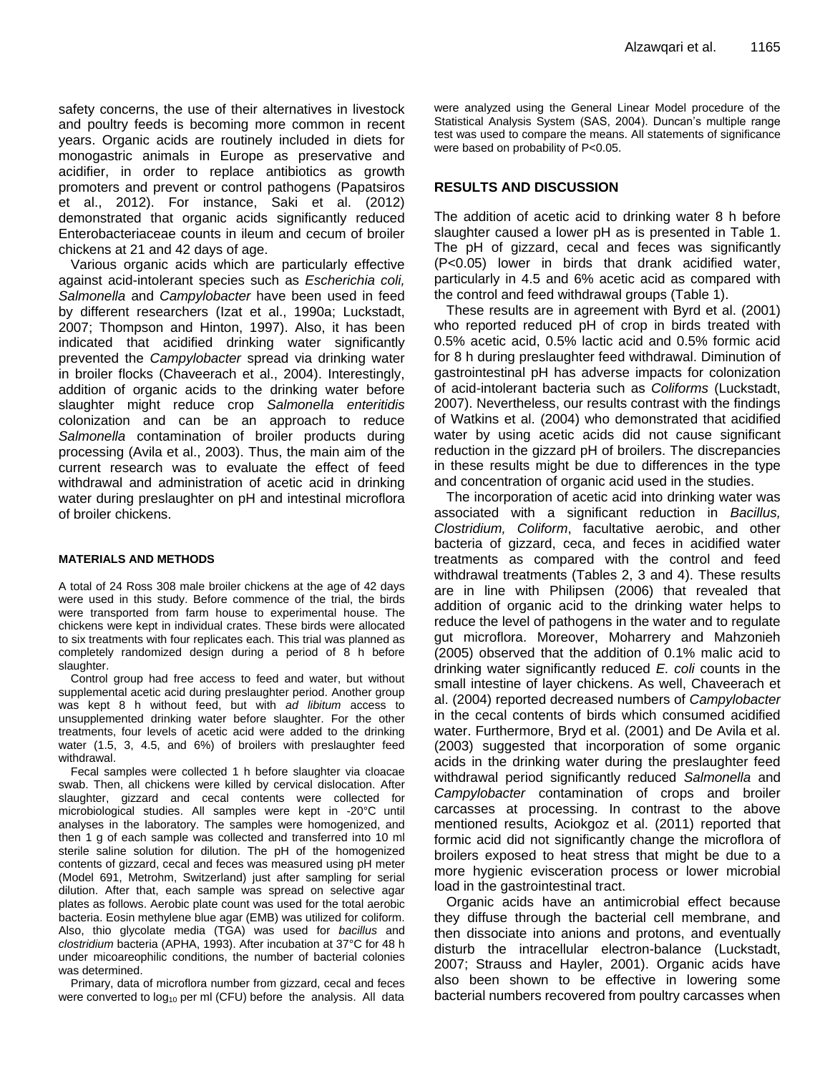safety concerns, the use of their alternatives in livestock and poultry feeds is becoming more common in recent years. Organic acids are routinely included in diets for monogastric animals in Europe as preservative and acidifier, in order to replace antibiotics as growth promoters and prevent or control pathogens (Papatsiros et al., 2012). For instance, Saki et al. (2012) demonstrated that organic acids significantly reduced Enterobacteriaceae counts in ileum and cecum of broiler chickens at 21 and 42 days of age.

Various organic acids which are particularly effective against acid-intolerant species such as *Escherichia coli, Salmonella* and *Campylobacter* have been used in feed by different researchers (Izat et al., 1990a; Luckstadt, 2007; Thompson and Hinton, 1997). Also, it has been indicated that acidified drinking water significantly prevented the *Campylobacter* spread via drinking water in broiler flocks (Chaveerach et al., 2004). Interestingly, addition of organic acids to the drinking water before slaughter might reduce crop *Salmonella enteritidis* colonization and can be an approach to reduce *Salmonella* contamination of broiler products during processing (Avila et al., 2003). Thus, the main aim of the current research was to evaluate the effect of feed withdrawal and administration of acetic acid in drinking water during preslaughter on pH and intestinal microflora of broiler chickens.

#### **MATERIALS AND METHODS**

A total of 24 Ross 308 male broiler chickens at the age of 42 days were used in this study. Before commence of the trial, the birds were transported from farm house to experimental house. The chickens were kept in individual crates. These birds were allocated to six treatments with four replicates each. This trial was planned as completely randomized design during a period of 8 h before slaughter.

Control group had free access to feed and water, but without supplemental acetic acid during preslaughter period. Another group was kept 8 h without feed, but with *ad libitum* access to unsupplemented drinking water before slaughter. For the other treatments, four levels of acetic acid were added to the drinking water (1.5, 3, 4.5, and 6%) of broilers with preslaughter feed withdrawal.

Fecal samples were collected 1 h before slaughter via cloacae swab. Then, all chickens were killed by cervical dislocation. After slaughter, gizzard and cecal contents were collected for microbiological studies. All samples were kept in -20°C until analyses in the laboratory. The samples were homogenized, and then 1 g of each sample was collected and transferred into 10 ml sterile saline solution for dilution. The pH of the homogenized contents of gizzard, cecal and feces was measured using pH meter (Model 691, Metrohm, Switzerland) just after sampling for serial dilution. After that, each sample was spread on selective agar plates as follows. Aerobic plate count was used for the total aerobic bacteria. Eosin methylene blue agar (EMB) was utilized for coliform. Also, thio glycolate media (TGA) was used for *bacillus* and *clostridium* bacteria (APHA, 1993). After incubation at 37°C for 48 h under micoareophilic conditions, the number of bacterial colonies was determined.

Primary, data of microflora number from gizzard, cecal and feces were converted to  $log_{10}$  per ml (CFU) before the analysis. All data

were analyzed using the General Linear Model procedure of the Statistical Analysis System (SAS, 2004). Duncan's multiple range test was used to compare the means. All statements of significance were based on probability of P<0.05.

### **RESULTS AND DISCUSSION**

The addition of acetic acid to drinking water 8 h before slaughter caused a lower pH as is presented in Table 1. The pH of gizzard, cecal and feces was significantly (P<0.05) lower in birds that drank acidified water, particularly in 4.5 and 6% acetic acid as compared with the control and feed withdrawal groups (Table 1).

These results are in agreement with Byrd et al. (2001) who reported reduced pH of crop in birds treated with 0.5% acetic acid, 0.5% lactic acid and 0.5% formic acid for 8 h during preslaughter feed withdrawal. Diminution of gastrointestinal pH has adverse impacts for colonization of acid-intolerant bacteria such as *Coliforms* (Luckstadt, 2007). Nevertheless, our results contrast with the findings of Watkins et al. (2004) who demonstrated that acidified water by using acetic acids did not cause significant reduction in the gizzard pH of broilers. The discrepancies in these results might be due to differences in the type and concentration of organic acid used in the studies.

The incorporation of acetic acid into drinking water was associated with a significant reduction in *Bacillus, Clostridium, Coliform*, facultative aerobic, and other bacteria of gizzard, ceca, and feces in acidified water treatments as compared with the control and feed withdrawal treatments (Tables 2, 3 and 4). These results are in line with Philipsen (2006) that revealed that addition of organic acid to the drinking water helps to reduce the level of pathogens in the water and to regulate gut microflora. Moreover, Moharrery and Mahzonieh (2005) observed that the addition of 0.1% malic acid to drinking water significantly reduced *E. coli* counts in the small intestine of layer chickens. As well, Chaveerach et al. (2004) reported decreased numbers of *Campylobacter* in the cecal contents of birds which consumed acidified water. Furthermore, Bryd et al. (2001) and De Avila et al. (2003) suggested that incorporation of some organic acids in the drinking water during the preslaughter feed withdrawal period significantly reduced *Salmonella* and *Campylobacter* contamination of crops and broiler carcasses at processing. In contrast to the above mentioned results, Aciokgoz et al. (2011) reported that formic acid did not significantly change the microflora of broilers exposed to heat stress that might be due to a more hygienic evisceration process or lower microbial load in the gastrointestinal tract.

Organic acids have an antimicrobial effect because they diffuse through the bacterial cell membrane, and then dissociate into anions and protons, and eventually disturb the intracellular electron-balance (Luckstadt, 2007; Strauss and Hayler, 2001). Organic acids have also been shown to be effective in lowering some bacterial numbers recovered from poultry carcasses when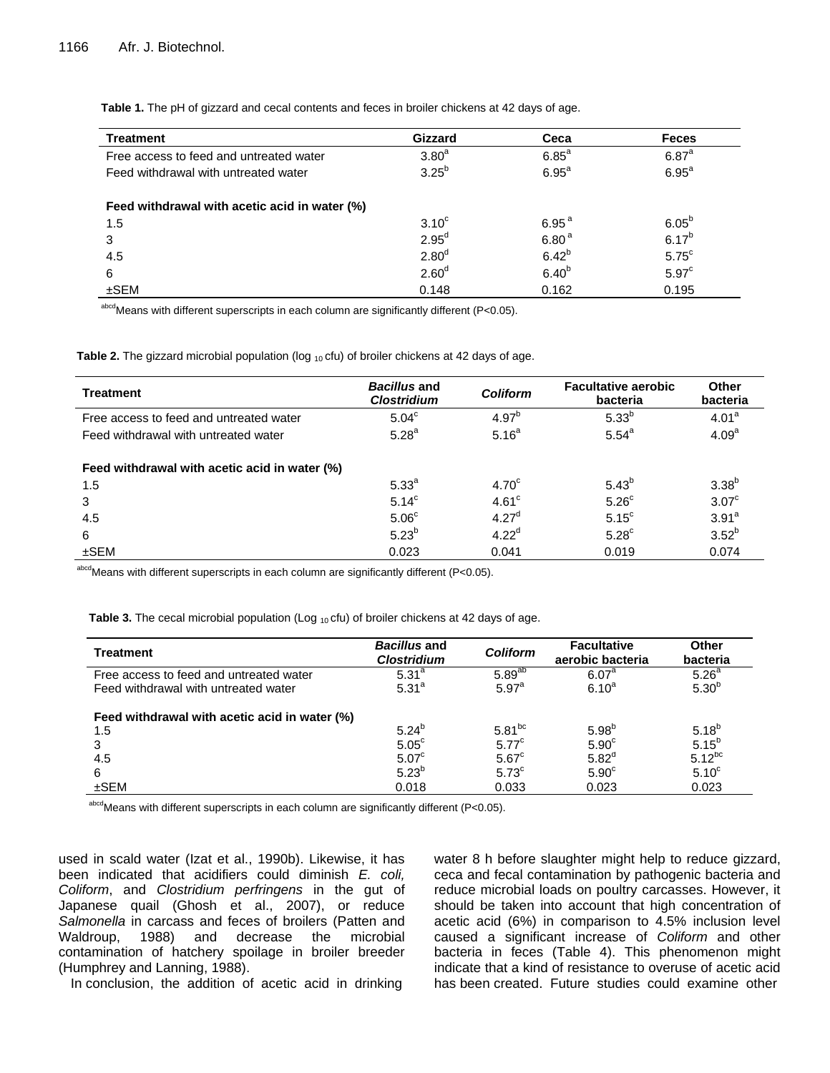**Table 1.** The pH of gizzard and cecal contents and feces in broiler chickens at 42 days of age.

| <b>Treatment</b>                              | <b>Gizzard</b>    | Ceca              | <b>Feces</b>      |
|-----------------------------------------------|-------------------|-------------------|-------------------|
| Free access to feed and untreated water       | 3.80 <sup>a</sup> | $6.85^a$          | $6.87^{a}$        |
| Feed withdrawal with untreated water          | $3.25^{b}$        | 6.95 <sup>a</sup> | 6.95 <sup>a</sup> |
| Feed withdrawal with acetic acid in water (%) |                   |                   |                   |
| 1.5                                           | $3.10^{\circ}$    | 6.95 <sup>a</sup> | $6.05^{b}$        |
| 3                                             | 2.95 <sup>d</sup> | 6.80 <sup>a</sup> | $6.17^{b}$        |
| 4.5                                           | 2.80 <sup>d</sup> | $6.42^{b}$        | $5.75^{\circ}$    |
| 6                                             | 2.60 <sup>d</sup> | 6.40 <sup>b</sup> | 5.97 <sup>c</sup> |
| $±$ SEM                                       | 0.148             | 0.162             | 0.195             |

abcd Means with different superscripts in each column are significantly different (P<0.05).

Table 2. The gizzard microbial population (log <sub>10</sub> cfu) of broiler chickens at 42 days of age.

| <b>Treatment</b>                              | <b>Bacillus and</b><br><b>Clostridium</b> | <b>Coliform</b>   | <b>Facultative aerobic</b><br>bacteria | Other<br>bacteria |
|-----------------------------------------------|-------------------------------------------|-------------------|----------------------------------------|-------------------|
| Free access to feed and untreated water       | 5.04 <sup>c</sup>                         | $4.97^{b}$        | $5.33^{b}$                             | 4.01 <sup>a</sup> |
| Feed withdrawal with untreated water          | $5.28^{a}$                                | $5.16^{a}$        | $5.54^{a}$                             | 4.09 <sup>a</sup> |
| Feed withdrawal with acetic acid in water (%) |                                           |                   |                                        |                   |
| 1.5                                           | 5.33 <sup>a</sup>                         | 4.70 <sup>c</sup> | $5.43^{b}$                             | 3.38 <sup>b</sup> |
| 3                                             | $5.14^c$                                  | 4.61 <sup>c</sup> | 5.26 <sup>c</sup>                      | 3.07 <sup>c</sup> |
| 4.5                                           | 5.06 <sup>c</sup>                         | 4.27 <sup>d</sup> | $5.15^{\circ}$                         | 3.91 <sup>a</sup> |
| 6                                             | $5.23^{b}$                                | $4.22^d$          | $5.28^{\circ}$                         | $3.52^{b}$        |
| $±$ SEM                                       | 0.023                                     | 0.041             | 0.019                                  | 0.074             |

abcd Means with different superscripts in each column are significantly different (P<0.05).

**Table 3.** The cecal microbial population (Log <sub>10</sub> cfu) of broiler chickens at 42 days of age.

| <b>Treatment</b>                                                                | <b>Bacillus and</b><br><b>Clostridium</b> | Coliform                      | <b>Facultative</b><br>aerobic bacteria | <b>Other</b><br>bacteria               |
|---------------------------------------------------------------------------------|-------------------------------------------|-------------------------------|----------------------------------------|----------------------------------------|
| Free access to feed and untreated water<br>Feed withdrawal with untreated water | $5.31^{a}$<br>$5.31^{a}$                  | $5.89^{ab}$<br>$5.97^{\circ}$ | 6.07 <sup>a</sup><br>$6.10^{a}$        | 5.26 <sup>a</sup><br>5.30 <sup>b</sup> |
| Feed withdrawal with acetic acid in water (%)                                   |                                           |                               |                                        |                                        |
| 1.5                                                                             | $5.24^{b}$                                | $5.81^{bc}$                   | 5.98 <sup>b</sup>                      | $5.18^{b}$                             |
|                                                                                 | $5.05^{\circ}$                            | $5.77^{\circ}$                | 5.90 <sup>c</sup>                      | $5.15^{b}$                             |
| 4.5                                                                             | 5.07 <sup>c</sup>                         | $5.67^{\circ}$                | $5.82^d$                               | $5.12^{bc}$                            |
| 6                                                                               | $5.23^{b}$                                | $5.73^{\circ}$                | 5.90 <sup>c</sup>                      | 5.10 <sup>c</sup>                      |
| $±$ SEM                                                                         | 0.018                                     | 0.033                         | 0.023                                  | 0.023                                  |

abcdMeans with different superscripts in each column are significantly different (P<0.05).

used in scald water (Izat et al., 1990b). Likewise, it has been indicated that acidifiers could diminish *E. coli, Coliform*, and *Clostridium perfringens* in the gut of Japanese quail (Ghosh et al., 2007), or reduce *Salmonella* in carcass and feces of broilers (Patten and Waldroup, 1988) and decrease the microbial contamination of hatchery spoilage in broiler breeder (Humphrey and Lanning, 1988).

In conclusion, the addition of acetic acid in drinking

water 8 h before slaughter might help to reduce gizzard, ceca and fecal contamination by pathogenic bacteria and reduce microbial loads on poultry carcasses. However, it should be taken into account that high concentration of acetic acid (6%) in comparison to 4.5% inclusion level caused a significant increase of *Coliform* and other bacteria in feces (Table 4). This phenomenon might indicate that a kind of resistance to overuse of acetic acid has been created. Future studies could examine other